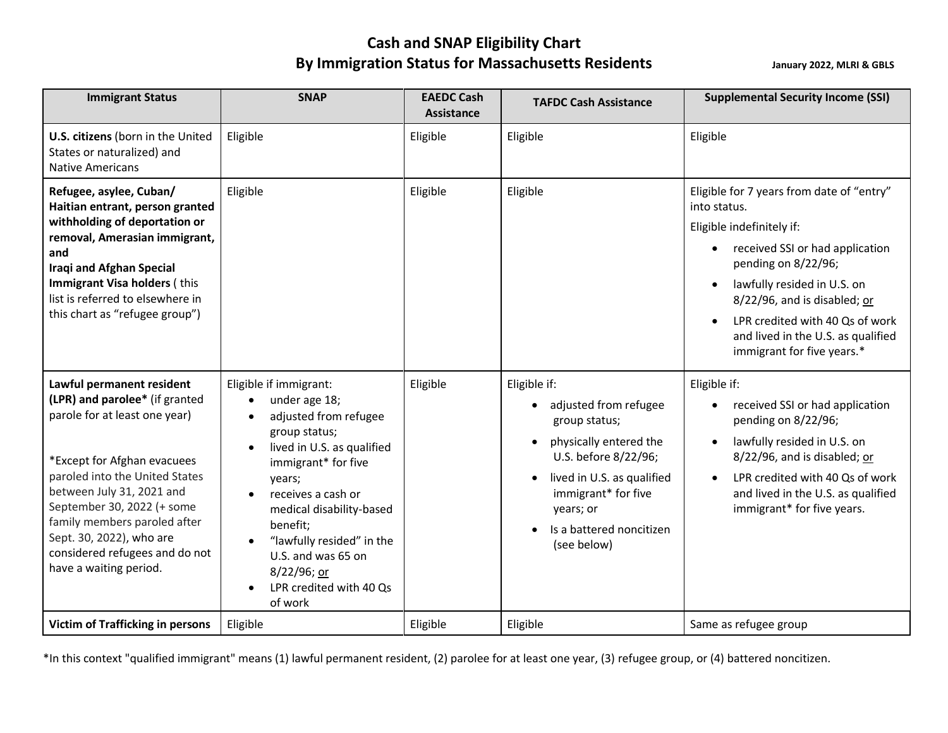## **Cash and SNAP Eligibility Chart**  By Immigration Status for Massachusetts Residents **Manuary 2022, MLRI** & GBLS

| <b>Immigrant Status</b>                                                                                                                                                                                                                                                                                                                          | <b>SNAP</b>                                                                                                                                                                                                                                                                                                            | <b>EAEDC Cash</b><br>Assistance | <b>TAFDC Cash Assistance</b>                                                                                                                                                                                                                    | <b>Supplemental Security Income (SSI)</b>                                                                                                                                                                                                                                                                                |
|--------------------------------------------------------------------------------------------------------------------------------------------------------------------------------------------------------------------------------------------------------------------------------------------------------------------------------------------------|------------------------------------------------------------------------------------------------------------------------------------------------------------------------------------------------------------------------------------------------------------------------------------------------------------------------|---------------------------------|-------------------------------------------------------------------------------------------------------------------------------------------------------------------------------------------------------------------------------------------------|--------------------------------------------------------------------------------------------------------------------------------------------------------------------------------------------------------------------------------------------------------------------------------------------------------------------------|
| U.S. citizens (born in the United<br>States or naturalized) and<br><b>Native Americans</b>                                                                                                                                                                                                                                                       | Eligible                                                                                                                                                                                                                                                                                                               | Eligible                        | Eligible                                                                                                                                                                                                                                        | Eligible                                                                                                                                                                                                                                                                                                                 |
| Refugee, asylee, Cuban/<br>Haitian entrant, person granted<br>withholding of deportation or<br>removal, Amerasian immigrant,<br>and<br><b>Iraqi and Afghan Special</b><br>Immigrant Visa holders (this<br>list is referred to elsewhere in<br>this chart as "refugee group")                                                                     | Eligible                                                                                                                                                                                                                                                                                                               | Eligible                        | Eligible                                                                                                                                                                                                                                        | Eligible for 7 years from date of "entry"<br>into status.<br>Eligible indefinitely if:<br>• received SSI or had application<br>pending on 8/22/96;<br>lawfully resided in U.S. on<br>8/22/96, and is disabled; or<br>LPR credited with 40 Qs of work<br>and lived in the U.S. as qualified<br>immigrant for five years.* |
| Lawful permanent resident<br>(LPR) and parolee* (if granted<br>parole for at least one year)<br>*Except for Afghan evacuees<br>paroled into the United States<br>between July 31, 2021 and<br>September 30, 2022 (+ some<br>family members paroled after<br>Sept. 30, 2022), who are<br>considered refugees and do not<br>have a waiting period. | Eligible if immigrant:<br>under age 18;<br>adjusted from refugee<br>group status;<br>lived in U.S. as qualified<br>immigrant* for five<br>years;<br>receives a cash or<br>medical disability-based<br>benefit;<br>"lawfully resided" in the<br>U.S. and was 65 on<br>8/22/96; or<br>LPR credited with 40 Qs<br>of work | Eligible                        | Eligible if:<br>adjusted from refugee<br>$\bullet$<br>group status;<br>physically entered the<br>$\bullet$<br>U.S. before 8/22/96;<br>lived in U.S. as qualified<br>immigrant* for five<br>years; or<br>Is a battered noncitizen<br>(see below) | Eligible if:<br>received SSI or had application<br>pending on 8/22/96;<br>lawfully resided in U.S. on<br>8/22/96, and is disabled; or<br>LPR credited with 40 Qs of work<br>and lived in the U.S. as qualified<br>immigrant* for five years.                                                                             |
| <b>Victim of Trafficking in persons</b>                                                                                                                                                                                                                                                                                                          | Eligible                                                                                                                                                                                                                                                                                                               | Eligible                        | Eligible                                                                                                                                                                                                                                        | Same as refugee group                                                                                                                                                                                                                                                                                                    |

\*In this context "qualified immigrant" means (1) lawful permanent resident, (2) parolee for at least one year, (3) refugee group, or (4) battered noncitizen.